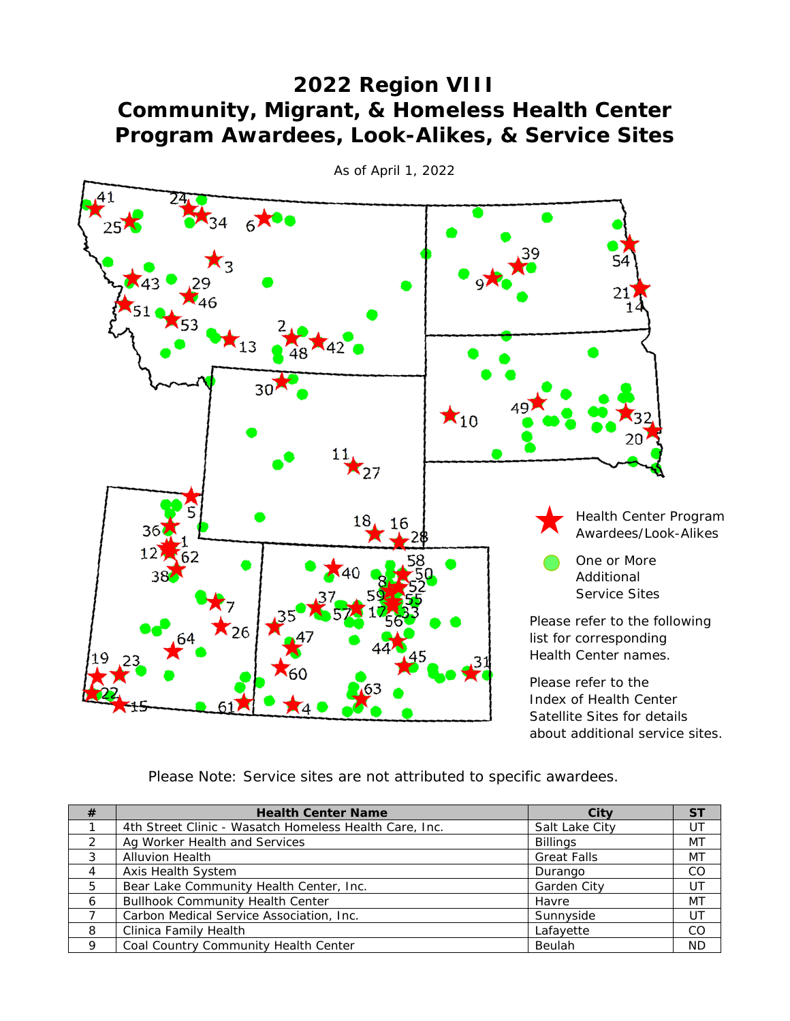## **2022 Region VIII Community, Migrant, & Homeless Health Center Program Awardees, Look-Alikes, & Service Sites**



*As of April 1, 2022*

*Please Note: Service sites are not attributed to specific awardees.*

| #              | <b>Health Center Name</b>                              | City               | <b>ST</b> |
|----------------|--------------------------------------------------------|--------------------|-----------|
|                | 4th Street Clinic - Wasatch Homeless Health Care, Inc. | Salt Lake City     | UT        |
| $\mathcal{L}$  | Ag Worker Health and Services                          | <b>Billings</b>    | MT        |
| 3              | <b>Alluvion Health</b>                                 | <b>Great Falls</b> | МT        |
| $\overline{4}$ | Axis Health System                                     | Durango            | CO.       |
| 5              | Bear Lake Community Health Center, Inc.                | Garden City        | UT        |
| 6              | <b>Bullhook Community Health Center</b>                | Havre              | MT        |
|                | Carbon Medical Service Association, Inc.               | Sunnyside          | UT        |
| 8              | Clinica Family Health                                  | Lafayette          | CO.       |
| <b>Q</b>       | Coal Country Community Health Center                   | Beulah             | ND.       |